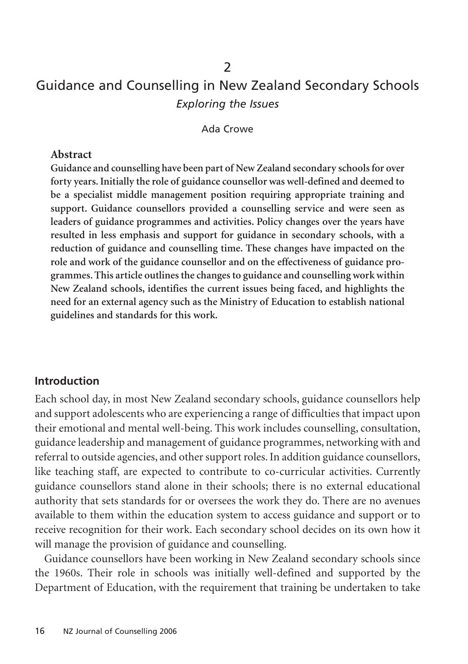# Guidance and Counselling in New Zealand Secondary Schools *Exploring the Issues*

 $\overline{\phantom{0}}$ 

Ada Crowe

#### **Abstract**

**Guidance and counselling have been part of New Zealand secondary schools for over forty years. Initially the role of guidance counsellor was well-defined and deemed to be a specialist middle management position requiring appropriate training and support. Guidance counsellors provided a counselling service and were seen as leaders of guidance programmes and activities. Policy changes over the years have resulted in less emphasis and support for guidance in secondary schools, with a reduction of guidance and counselling time. These changes have impacted on the role and work of the guidance counsellor and on the effectiveness of guidance programmes. This article outlines the changes to guidance and counselling work within New Zealand schools, identifies the current issues being faced, and highlights the need for an external agency such as the Ministry of Education to establish national guidelines and standards for this work.**

#### **Introduction**

Each school day, in most New Zealand secondary schools, guidance counsellors help and support adolescents who are experiencing a range of difficulties that impact upon their emotional and mental well-being. This work includes counselling, consultation, guidance leadership and management of guidance programmes, networking with and referral to outside agencies, and other support roles. In addition guidance counsellors, like teaching staff, are expected to contribute to co-curricular activities. Currently guidance counsellors stand alone in their schools; there is no external educational authority that sets standards for or oversees the work they do. There are no avenues available to them within the education system to access guidance and support or to receive recognition for their work. Each secondary school decides on its own how it will manage the provision of guidance and counselling.

Guidance counsellors have been working in New Zealand secondary schools since the 1960s. Their role in schools was initially well-defined and supported by the Department of Education, with the requirement that training be undertaken to take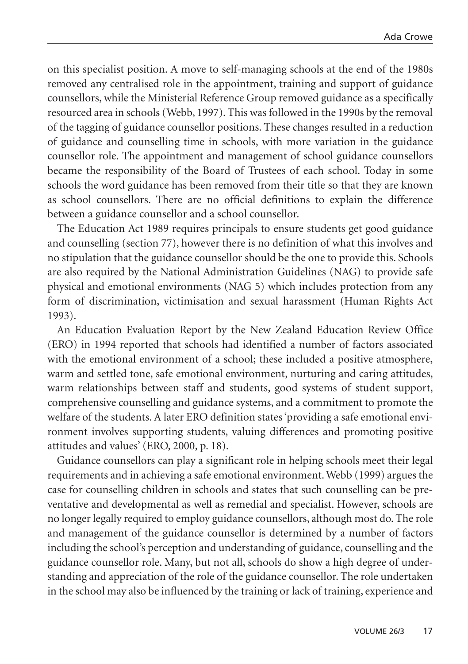on this specialist position. A move to self-managing schools at the end of the 1980s removed any centralised role in the appointment, training and support of guidance counsellors, while the Ministerial Reference Group removed guidance as a specifically resourced area in schools (Webb, 1997). This was followed in the 1990s by the removal of the tagging of guidance counsellor positions. These changes resulted in a reduction of guidance and counselling time in schools, with more variation in the guidance counsellor role. The appointment and management of school guidance counsellors became the responsibility of the Board of Trustees of each school. Today in some schools the word guidance has been removed from their title so that they are known as school counsellors. There are no official definitions to explain the difference between a guidance counsellor and a school counsellor.

The Education Act 1989 requires principals to ensure students get good guidance and counselling (section 77), however there is no definition of what this involves and no stipulation that the guidance counsellor should be the one to provide this. Schools are also required by the National Administration Guidelines (NAG) to provide safe physical and emotional environments (NAG 5) which includes protection from any form of discrimination, victimisation and sexual harassment (Human Rights Act 1993).

An Education Evaluation Report by the New Zealand Education Review Office (ERO) in 1994 reported that schools had identified a number of factors associated with the emotional environment of a school; these included a positive atmosphere, warm and settled tone, safe emotional environment, nurturing and caring attitudes, warm relationships between staff and students, good systems of student support, comprehensive counselling and guidance systems, and a commitment to promote the welfare of the students. A later ERO definition states 'providing a safe emotional environment involves supporting students, valuing differences and promoting positive attitudes and values' (ERO, 2000, p. 18).

Guidance counsellors can play a significant role in helping schools meet their legal requirements and in achieving a safe emotional environment. Webb (1999) argues the case for counselling children in schools and states that such counselling can be preventative and developmental as well as remedial and specialist. However, schools are no longer legally required to employ guidance counsellors, although most do. The role and management of the guidance counsellor is determined by a number of factors including the school's perception and understanding of guidance, counselling and the guidance counsellor role. Many, but not all, schools do show a high degree of understanding and appreciation of the role of the guidance counsellor. The role undertaken in the school may also be influenced by the training or lack of training, experience and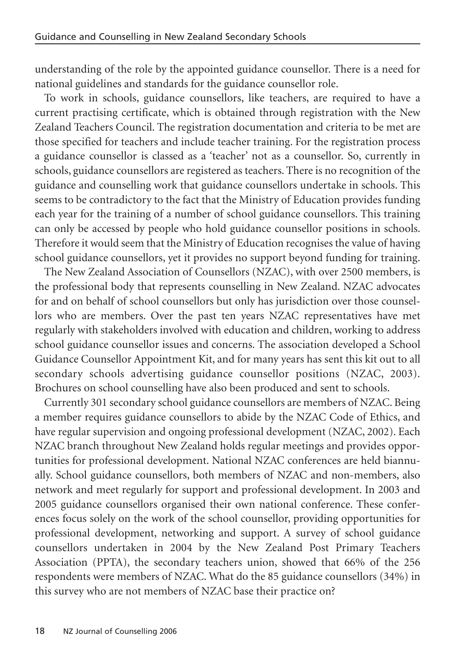understanding of the role by the appointed guidance counsellor. There is a need for national guidelines and standards for the guidance counsellor role.

To work in schools, guidance counsellors, like teachers, are required to have a current practising certificate, which is obtained through registration with the New Zealand Teachers Council. The registration documentation and criteria to be met are those specified for teachers and include teacher training. For the registration process a guidance counsellor is classed as a 'teacher' not as a counsellor. So, currently in schools, guidance counsellors are registered as teachers. There is no recognition of the guidance and counselling work that guidance counsellors undertake in schools. This seems to be contradictory to the fact that the Ministry of Education provides funding each year for the training of a number of school guidance counsellors. This training can only be accessed by people who hold guidance counsellor positions in schools. Therefore it would seem that the Ministry of Education recognises the value of having school guidance counsellors, yet it provides no support beyond funding for training.

The New Zealand Association of Counsellors (NZAC), with over 2500 members, is the professional body that represents counselling in New Zealand. NZAC advocates for and on behalf of school counsellors but only has jurisdiction over those counsellors who are members. Over the past ten years NZAC representatives have met regularly with stakeholders involved with education and children, working to address school guidance counsellor issues and concerns. The association developed a School Guidance Counsellor Appointment Kit, and for many years has sent this kit out to all secondary schools advertising guidance counsellor positions (NZAC, 2003). Brochures on school counselling have also been produced and sent to schools.

Currently 301 secondary school guidance counsellors are members of NZAC. Being a member requires guidance counsellors to abide by the NZAC Code of Ethics, and have regular supervision and ongoing professional development (NZAC, 2002). Each NZAC branch throughout New Zealand holds regular meetings and provides opportunities for professional development. National NZAC conferences are held biannually. School guidance counsellors, both members of NZAC and non-members, also network and meet regularly for support and professional development. In 2003 and 2005 guidance counsellors organised their own national conference. These conferences focus solely on the work of the school counsellor, providing opportunities for professional development, networking and support. A survey of school guidance counsellors undertaken in 2004 by the New Zealand Post Primary Teachers Association (PPTA), the secondary teachers union, showed that 66% of the 256 respondents were members of NZAC. What do the 85 guidance counsellors (34%) in this survey who are not members of NZAC base their practice on?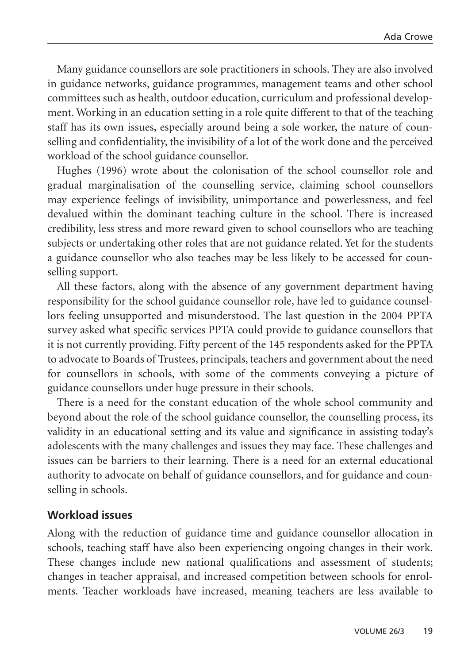Many guidance counsellors are sole practitioners in schools. They are also involved in guidance networks, guidance programmes, management teams and other school committees such as health, outdoor education, curriculum and professional development. Working in an education setting in a role quite different to that of the teaching staff has its own issues, especially around being a sole worker, the nature of counselling and confidentiality, the invisibility of a lot of the work done and the perceived workload of the school guidance counsellor.

Hughes (1996) wrote about the colonisation of the school counsellor role and gradual marginalisation of the counselling service, claiming school counsellors may experience feelings of invisibility, unimportance and powerlessness, and feel devalued within the dominant teaching culture in the school. There is increased credibility, less stress and more reward given to school counsellors who are teaching subjects or undertaking other roles that are not guidance related. Yet for the students a guidance counsellor who also teaches may be less likely to be accessed for counselling support.

All these factors, along with the absence of any government department having responsibility for the school guidance counsellor role, have led to guidance counsellors feeling unsupported and misunderstood. The last question in the 2004 PPTA survey asked what specific services PPTA could provide to guidance counsellors that it is not currently providing. Fifty percent of the 145 respondents asked for the PPTA to advocate to Boards of Trustees, principals, teachers and government about the need for counsellors in schools, with some of the comments conveying a picture of guidance counsellors under huge pressure in their schools.

There is a need for the constant education of the whole school community and beyond about the role of the school guidance counsellor, the counselling process, its validity in an educational setting and its value and significance in assisting today's adolescents with the many challenges and issues they may face. These challenges and issues can be barriers to their learning. There is a need for an external educational authority to advocate on behalf of guidance counsellors, and for guidance and counselling in schools.

### **Workload issues**

Along with the reduction of guidance time and guidance counsellor allocation in schools, teaching staff have also been experiencing ongoing changes in their work. These changes include new national qualifications and assessment of students; changes in teacher appraisal, and increased competition between schools for enrolments. Teacher workloads have increased, meaning teachers are less available to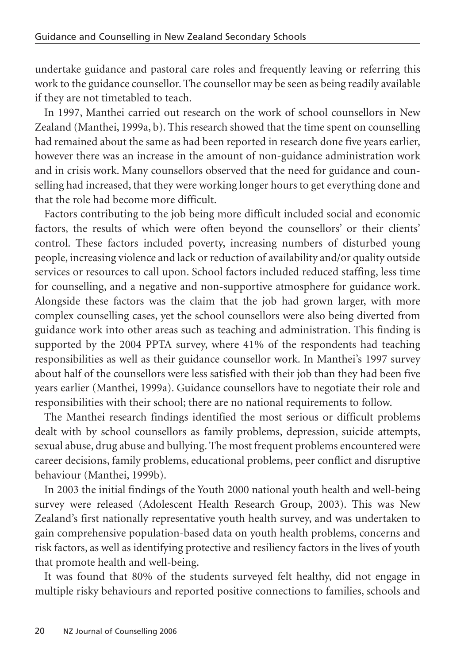undertake guidance and pastoral care roles and frequently leaving or referring this work to the guidance counsellor. The counsellor may be seen as being readily available if they are not timetabled to teach.

In 1997, Manthei carried out research on the work of school counsellors in New Zealand (Manthei, 1999a, b). This research showed that the time spent on counselling had remained about the same as had been reported in research done five years earlier, however there was an increase in the amount of non-guidance administration work and in crisis work. Many counsellors observed that the need for guidance and counselling had increased, that they were working longer hours to get everything done and that the role had become more difficult.

Factors contributing to the job being more difficult included social and economic factors, the results of which were often beyond the counsellors' or their clients' control. These factors included poverty, increasing numbers of disturbed young people, increasing violence and lack or reduction of availability and/or quality outside services or resources to call upon. School factors included reduced staffing, less time for counselling, and a negative and non-supportive atmosphere for guidance work. Alongside these factors was the claim that the job had grown larger, with more complex counselling cases, yet the school counsellors were also being diverted from guidance work into other areas such as teaching and administration. This finding is supported by the 2004 PPTA survey, where 41% of the respondents had teaching responsibilities as well as their guidance counsellor work. In Manthei's 1997 survey about half of the counsellors were less satisfied with their job than they had been five years earlier (Manthei, 1999a). Guidance counsellors have to negotiate their role and responsibilities with their school; there are no national requirements to follow.

The Manthei research findings identified the most serious or difficult problems dealt with by school counsellors as family problems, depression, suicide attempts, sexual abuse, drug abuse and bullying. The most frequent problems encountered were career decisions, family problems, educational problems, peer conflict and disruptive behaviour (Manthei, 1999b).

In 2003 the initial findings of the Youth 2000 national youth health and well-being survey were released (Adolescent Health Research Group, 2003). This was New Zealand's first nationally representative youth health survey, and was undertaken to gain comprehensive population-based data on youth health problems, concerns and risk factors, as well as identifying protective and resiliency factors in the lives of youth that promote health and well-being.

It was found that 80% of the students surveyed felt healthy, did not engage in multiple risky behaviours and reported positive connections to families, schools and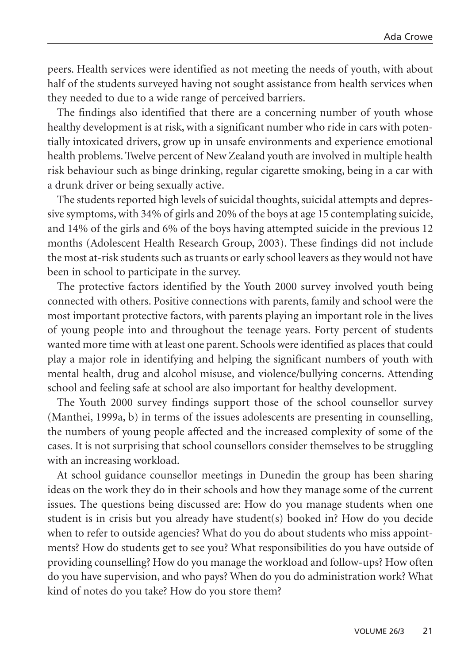peers. Health services were identified as not meeting the needs of youth, with about half of the students surveyed having not sought assistance from health services when they needed to due to a wide range of perceived barriers.

The findings also identified that there are a concerning number of youth whose healthy development is at risk, with a significant number who ride in cars with potentially intoxicated drivers, grow up in unsafe environments and experience emotional health problems. Twelve percent of New Zealand youth are involved in multiple health risk behaviour such as binge drinking, regular cigarette smoking, being in a car with a drunk driver or being sexually active.

The students reported high levels of suicidal thoughts, suicidal attempts and depressive symptoms, with 34% of girls and 20% of the boys at age 15 contemplating suicide, and 14% of the girls and 6% of the boys having attempted suicide in the previous 12 months (Adolescent Health Research Group, 2003). These findings did not include the most at-risk students such as truants or early school leavers as they would not have been in school to participate in the survey.

The protective factors identified by the Youth 2000 survey involved youth being connected with others. Positive connections with parents, family and school were the most important protective factors, with parents playing an important role in the lives of young people into and throughout the teenage years. Forty percent of students wanted more time with at least one parent. Schools were identified as places that could play a major role in identifying and helping the significant numbers of youth with mental health, drug and alcohol misuse, and violence/bullying concerns. Attending school and feeling safe at school are also important for healthy development.

The Youth 2000 survey findings support those of the school counsellor survey (Manthei, 1999a, b) in terms of the issues adolescents are presenting in counselling, the numbers of young people affected and the increased complexity of some of the cases. It is not surprising that school counsellors consider themselves to be struggling with an increasing workload.

At school guidance counsellor meetings in Dunedin the group has been sharing ideas on the work they do in their schools and how they manage some of the current issues. The questions being discussed are: How do you manage students when one student is in crisis but you already have student(s) booked in? How do you decide when to refer to outside agencies? What do you do about students who miss appointments? How do students get to see you? What responsibilities do you have outside of providing counselling? How do you manage the workload and follow-ups? How often do you have supervision, and who pays? When do you do administration work? What kind of notes do you take? How do you store them?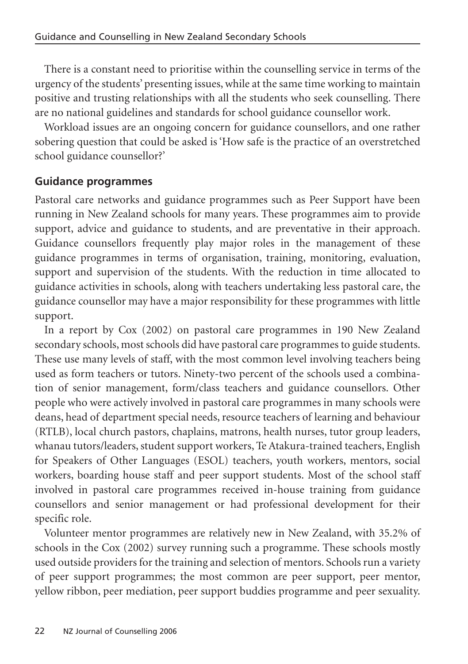There is a constant need to prioritise within the counselling service in terms of the urgency of the students' presenting issues, while at the same time working to maintain positive and trusting relationships with all the students who seek counselling. There are no national guidelines and standards for school guidance counsellor work.

Workload issues are an ongoing concern for guidance counsellors, and one rather sobering question that could be asked is 'How safe is the practice of an overstretched school guidance counsellor?'

## **Guidance programmes**

Pastoral care networks and guidance programmes such as Peer Support have been running in New Zealand schools for many years. These programmes aim to provide support, advice and guidance to students, and are preventative in their approach. Guidance counsellors frequently play major roles in the management of these guidance programmes in terms of organisation, training, monitoring, evaluation, support and supervision of the students. With the reduction in time allocated to guidance activities in schools, along with teachers undertaking less pastoral care, the guidance counsellor may have a major responsibility for these programmes with little support.

In a report by Cox (2002) on pastoral care programmes in 190 New Zealand secondary schools, most schools did have pastoral care programmes to guide students. These use many levels of staff, with the most common level involving teachers being used as form teachers or tutors. Ninety-two percent of the schools used a combination of senior management, form/class teachers and guidance counsellors. Other people who were actively involved in pastoral care programmes in many schools were deans, head of department special needs, resource teachers of learning and behaviour (RTLB), local church pastors, chaplains, matrons, health nurses, tutor group leaders, whanau tutors/leaders, student support workers, Te Atakura-trained teachers, English for Speakers of Other Languages (ESOL) teachers, youth workers, mentors, social workers, boarding house staff and peer support students. Most of the school staff involved in pastoral care programmes received in-house training from guidance counsellors and senior management or had professional development for their specific role.

Volunteer mentor programmes are relatively new in New Zealand, with 35.2% of schools in the Cox (2002) survey running such a programme. These schools mostly used outside providers for the training and selection of mentors. Schools run a variety of peer support programmes; the most common are peer support, peer mentor, yellow ribbon, peer mediation, peer support buddies programme and peer sexuality.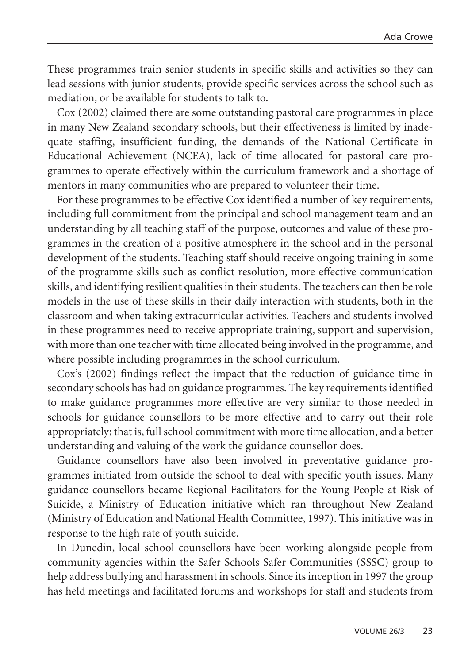These programmes train senior students in specific skills and activities so they can lead sessions with junior students, provide specific services across the school such as mediation, or be available for students to talk to.

Cox (2002) claimed there are some outstanding pastoral care programmes in place in many New Zealand secondary schools, but their effectiveness is limited by inadequate staffing, insufficient funding, the demands of the National Certificate in Educational Achievement (NCEA), lack of time allocated for pastoral care programmes to operate effectively within the curriculum framework and a shortage of mentors in many communities who are prepared to volunteer their time.

For these programmes to be effective Cox identified a number of key requirements, including full commitment from the principal and school management team and an understanding by all teaching staff of the purpose, outcomes and value of these programmes in the creation of a positive atmosphere in the school and in the personal development of the students. Teaching staff should receive ongoing training in some of the programme skills such as conflict resolution, more effective communication skills, and identifying resilient qualities in their students. The teachers can then be role models in the use of these skills in their daily interaction with students, both in the classroom and when taking extracurricular activities. Teachers and students involved in these programmes need to receive appropriate training, support and supervision, with more than one teacher with time allocated being involved in the programme, and where possible including programmes in the school curriculum.

Cox's (2002) findings reflect the impact that the reduction of guidance time in secondary schools has had on guidance programmes. The key requirements identified to make guidance programmes more effective are very similar to those needed in schools for guidance counsellors to be more effective and to carry out their role appropriately; that is, full school commitment with more time allocation, and a better understanding and valuing of the work the guidance counsellor does.

Guidance counsellors have also been involved in preventative guidance programmes initiated from outside the school to deal with specific youth issues. Many guidance counsellors became Regional Facilitators for the Young People at Risk of Suicide, a Ministry of Education initiative which ran throughout New Zealand (Ministry of Education and National Health Committee, 1997). This initiative was in response to the high rate of youth suicide.

In Dunedin, local school counsellors have been working alongside people from community agencies within the Safer Schools Safer Communities (SSSC) group to help address bullying and harassment in schools. Since its inception in 1997 the group has held meetings and facilitated forums and workshops for staff and students from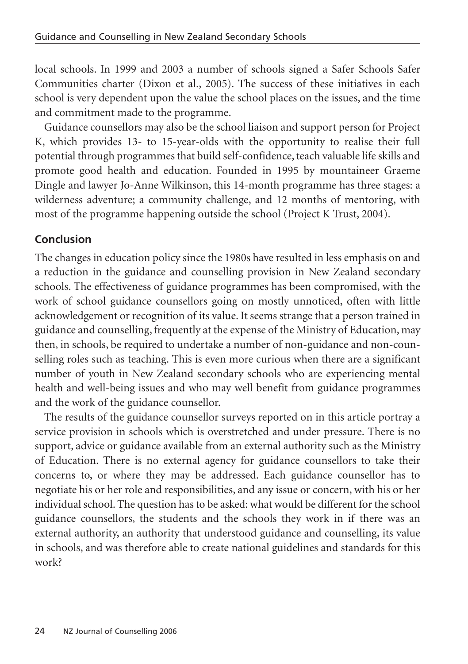local schools. In 1999 and 2003 a number of schools signed a Safer Schools Safer Communities charter (Dixon et al., 2005). The success of these initiatives in each school is very dependent upon the value the school places on the issues, and the time and commitment made to the programme.

Guidance counsellors may also be the school liaison and support person for Project K, which provides 13- to 15-year-olds with the opportunity to realise their full potential through programmes that build self-confidence, teach valuable life skills and promote good health and education. Founded in 1995 by mountaineer Graeme Dingle and lawyer Jo-Anne Wilkinson, this 14-month programme has three stages: a wilderness adventure; a community challenge, and 12 months of mentoring, with most of the programme happening outside the school (Project K Trust, 2004).

## **Conclusion**

The changes in education policy since the 1980s have resulted in less emphasis on and a reduction in the guidance and counselling provision in New Zealand secondary schools. The effectiveness of guidance programmes has been compromised, with the work of school guidance counsellors going on mostly unnoticed, often with little acknowledgement or recognition of its value. It seems strange that a person trained in guidance and counselling, frequently at the expense of the Ministry of Education, may then, in schools, be required to undertake a number of non-guidance and non-counselling roles such as teaching. This is even more curious when there are a significant number of youth in New Zealand secondary schools who are experiencing mental health and well-being issues and who may well benefit from guidance programmes and the work of the guidance counsellor.

The results of the guidance counsellor surveys reported on in this article portray a service provision in schools which is overstretched and under pressure. There is no support, advice or guidance available from an external authority such as the Ministry of Education. There is no external agency for guidance counsellors to take their concerns to, or where they may be addressed. Each guidance counsellor has to negotiate his or her role and responsibilities, and any issue or concern, with his or her individual school. The question has to be asked: what would be different for the school guidance counsellors, the students and the schools they work in if there was an external authority, an authority that understood guidance and counselling, its value in schools, and was therefore able to create national guidelines and standards for this work?